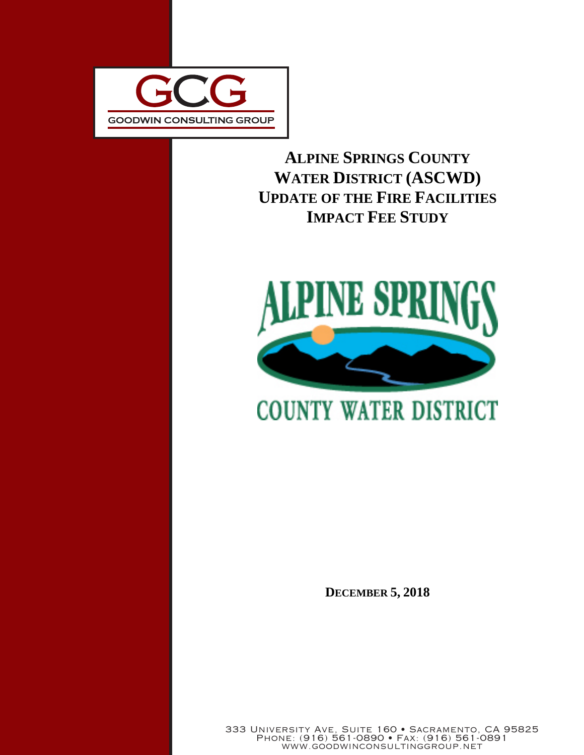

# **ALPINE SPRINGS COUNTY WATER DISTRICT (ASCWD) UPDATE OF THE FIRE FACILITIES IMPACT FEE STUDY**



# **COUNTY WATER DISTRICT**

**DECEMBER 5, 2018** 

333 UNIVERSITY AVE, SUITE 160 · SACRAMENTO, CA 95825 PHONE: (916) 561-0890 • FAX: (916) 561-0891 www.goodwinconsultinggroup.net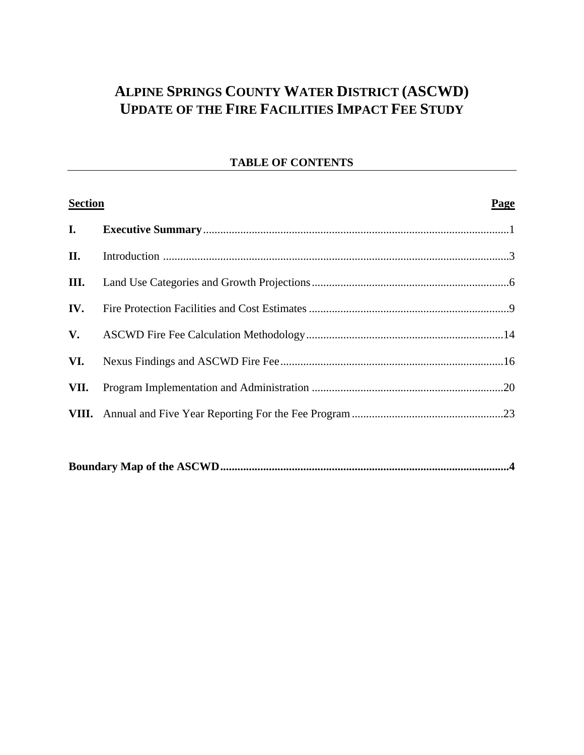## **ALPINE SPRINGS COUNTY WATER DISTRICT (ASCWD) UPDATE OF THE FIRE FACILITIES IMPACT FEE STUDY**

#### **TABLE OF CONTENTS**

| <b>Section</b> | Page |
|----------------|------|
| I.             |      |
| II.            |      |
| Ш.             |      |
| IV.            |      |
| V.             |      |
| VI.            |      |
| VII.           |      |
|                |      |
|                |      |

|--|--|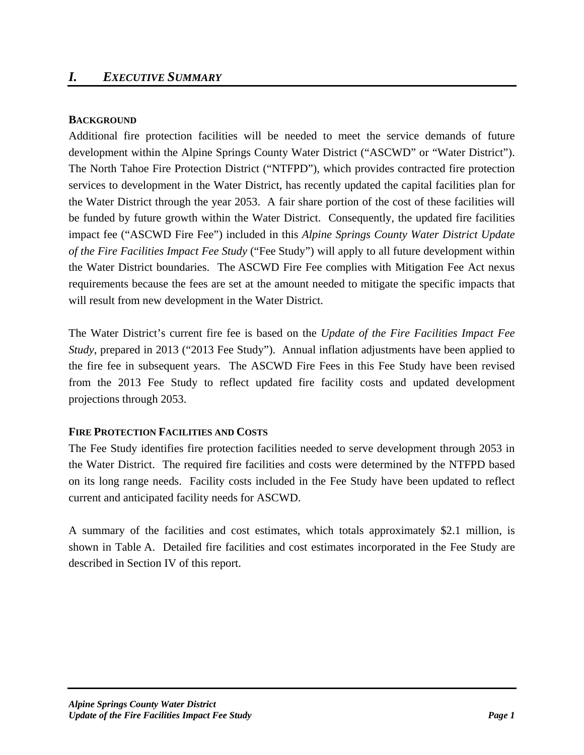#### **BACKGROUND**

Additional fire protection facilities will be needed to meet the service demands of future development within the Alpine Springs County Water District ("ASCWD" or "Water District"). The North Tahoe Fire Protection District ("NTFPD"), which provides contracted fire protection services to development in the Water District, has recently updated the capital facilities plan for the Water District through the year 2053. A fair share portion of the cost of these facilities will be funded by future growth within the Water District. Consequently, the updated fire facilities impact fee ("ASCWD Fire Fee") included in this *Alpine Springs County Water District Update of the Fire Facilities Impact Fee Study* ("Fee Study") will apply to all future development within the Water District boundaries. The ASCWD Fire Fee complies with Mitigation Fee Act nexus requirements because the fees are set at the amount needed to mitigate the specific impacts that will result from new development in the Water District.

The Water District's current fire fee is based on the *Update of the Fire Facilities Impact Fee Study*, prepared in 2013 ("2013 Fee Study"). Annual inflation adjustments have been applied to the fire fee in subsequent years. The ASCWD Fire Fees in this Fee Study have been revised from the 2013 Fee Study to reflect updated fire facility costs and updated development projections through 2053.

#### **FIRE PROTECTION FACILITIES AND COSTS**

The Fee Study identifies fire protection facilities needed to serve development through 2053 in the Water District. The required fire facilities and costs were determined by the NTFPD based on its long range needs. Facility costs included in the Fee Study have been updated to reflect current and anticipated facility needs for ASCWD.

A summary of the facilities and cost estimates, which totals approximately \$2.1 million, is shown in Table A. Detailed fire facilities and cost estimates incorporated in the Fee Study are described in Section IV of this report.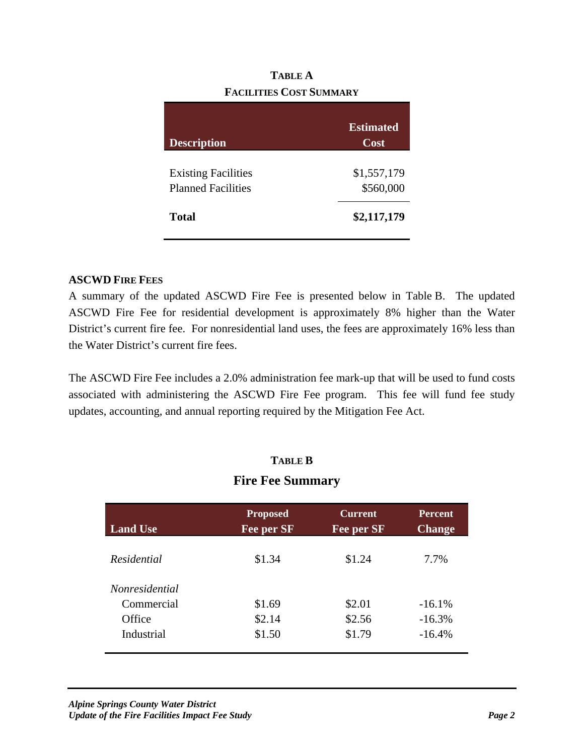| <b>FACILITIES COST SUMMARY</b> |                          |  |  |  |
|--------------------------------|--------------------------|--|--|--|
| <b>Description</b>             | <b>Estimated</b><br>Cost |  |  |  |
|                                |                          |  |  |  |
| <b>Existing Facilities</b>     | \$1,557,179              |  |  |  |
| <b>Planned Facilities</b>      | \$560,000                |  |  |  |
| Total                          | \$2,117,179              |  |  |  |

# **TABLE A**

#### **ASCWD FIRE FEES**

A summary of the updated ASCWD Fire Fee is presented below in Table B. The updated ASCWD Fire Fee for residential development is approximately 8% higher than the Water District's current fire fee. For nonresidential land uses, the fees are approximately 16% less than the Water District's current fire fees.

The ASCWD Fire Fee includes a 2.0% administration fee mark-up that will be used to fund costs associated with administering the ASCWD Fire Fee program. This fee will fund fee study updates, accounting, and annual reporting required by the Mitigation Fee Act.

## **TABLE B Fire Fee Summary**

| <b>Land Use</b>       | <b>Proposed</b><br>Fee per SF | <b>Current</b><br>Fee per SF | <b>Percent</b><br><b>Change</b> |
|-----------------------|-------------------------------|------------------------------|---------------------------------|
| Residential           | \$1.34                        | \$1.24                       | 7.7%                            |
| <i>Nonresidential</i> |                               |                              |                                 |
| Commercial            | \$1.69                        | \$2.01                       | $-16.1\%$                       |
| Office                | \$2.14                        | \$2.56                       | $-16.3%$                        |
| Industrial            | \$1.50                        | \$1.79                       | $-16.4%$                        |
|                       |                               |                              |                                 |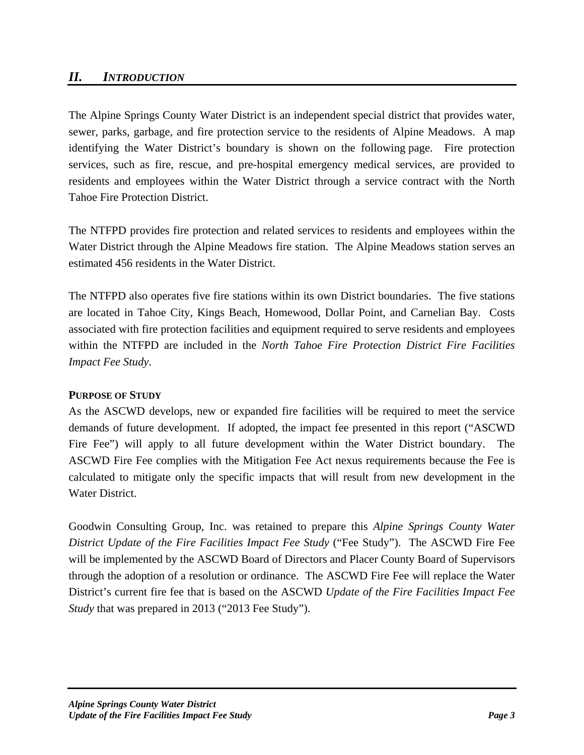#### *II. INTRODUCTION*

The Alpine Springs County Water District is an independent special district that provides water, sewer, parks, garbage, and fire protection service to the residents of Alpine Meadows. A map identifying the Water District's boundary is shown on the following page. Fire protection services, such as fire, rescue, and pre-hospital emergency medical services, are provided to residents and employees within the Water District through a service contract with the North Tahoe Fire Protection District.

The NTFPD provides fire protection and related services to residents and employees within the Water District through the Alpine Meadows fire station. The Alpine Meadows station serves an estimated 456 residents in the Water District.

The NTFPD also operates five fire stations within its own District boundaries. The five stations are located in Tahoe City, Kings Beach, Homewood, Dollar Point, and Carnelian Bay. Costs associated with fire protection facilities and equipment required to serve residents and employees within the NTFPD are included in the *North Tahoe Fire Protection District Fire Facilities Impact Fee Study*.

#### **PURPOSE OF STUDY**

As the ASCWD develops, new or expanded fire facilities will be required to meet the service demands of future development. If adopted, the impact fee presented in this report ("ASCWD Fire Fee") will apply to all future development within the Water District boundary. The ASCWD Fire Fee complies with the Mitigation Fee Act nexus requirements because the Fee is calculated to mitigate only the specific impacts that will result from new development in the Water District.

Goodwin Consulting Group, Inc. was retained to prepare this *Alpine Springs County Water District Update of the Fire Facilities Impact Fee Study* ("Fee Study"). The ASCWD Fire Fee will be implemented by the ASCWD Board of Directors and Placer County Board of Supervisors through the adoption of a resolution or ordinance. The ASCWD Fire Fee will replace the Water District's current fire fee that is based on the ASCWD *Update of the Fire Facilities Impact Fee Study* that was prepared in 2013 ("2013 Fee Study").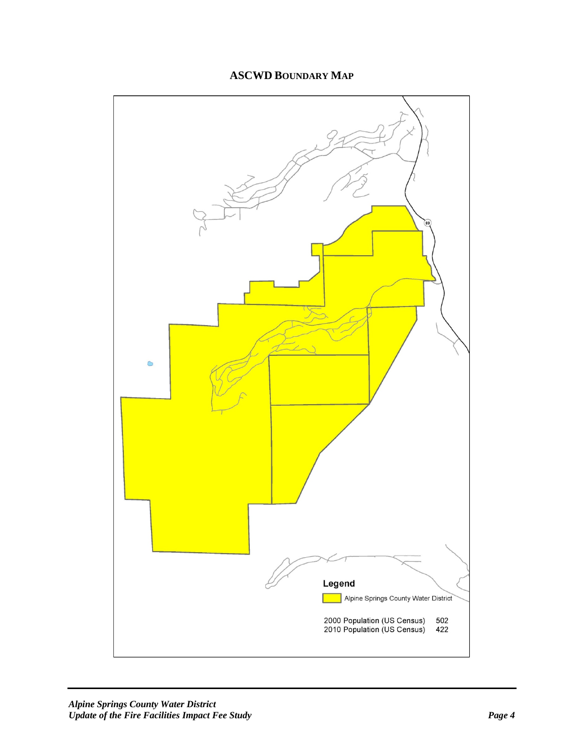## **ASCWD BOUNDARY MAP**

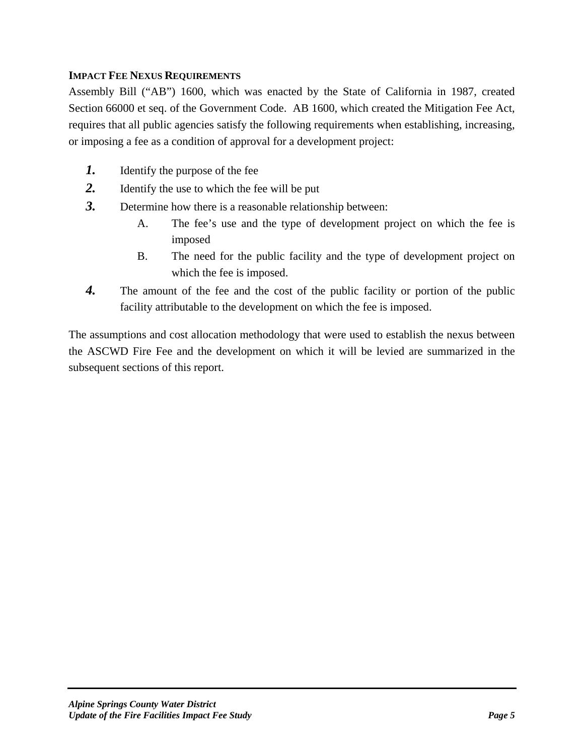#### **IMPACT FEE NEXUS REQUIREMENTS**

Assembly Bill ("AB") 1600, which was enacted by the State of California in 1987, created Section 66000 et seq. of the Government Code. AB 1600, which created the Mitigation Fee Act, requires that all public agencies satisfy the following requirements when establishing, increasing, or imposing a fee as a condition of approval for a development project:

- *1.* Identify the purpose of the fee
- *2.* Identify the use to which the fee will be put
- *3.* Determine how there is a reasonable relationship between:
	- A. The fee's use and the type of development project on which the fee is imposed
	- B. The need for the public facility and the type of development project on which the fee is imposed.
- *4.* The amount of the fee and the cost of the public facility or portion of the public facility attributable to the development on which the fee is imposed.

The assumptions and cost allocation methodology that were used to establish the nexus between the ASCWD Fire Fee and the development on which it will be levied are summarized in the subsequent sections of this report.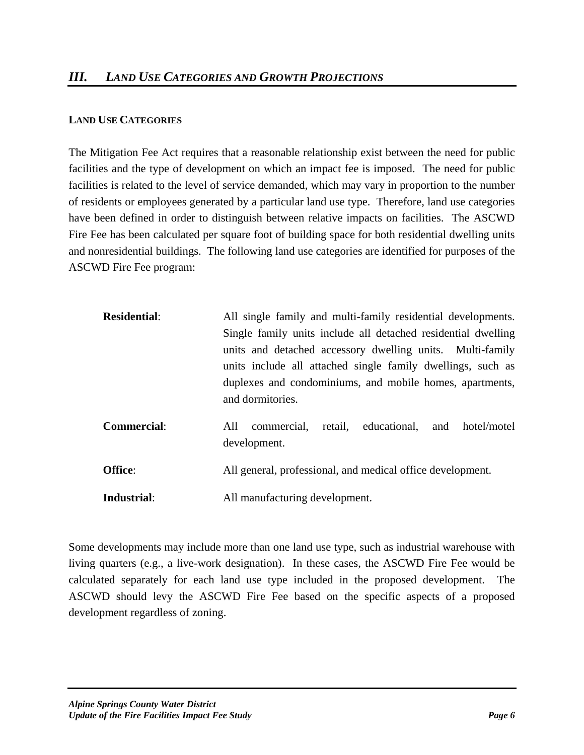#### **LAND USE CATEGORIES**

The Mitigation Fee Act requires that a reasonable relationship exist between the need for public facilities and the type of development on which an impact fee is imposed. The need for public facilities is related to the level of service demanded, which may vary in proportion to the number of residents or employees generated by a particular land use type. Therefore, land use categories have been defined in order to distinguish between relative impacts on facilities. The ASCWD Fire Fee has been calculated per square foot of building space for both residential dwelling units and nonresidential buildings. The following land use categories are identified for purposes of the ASCWD Fire Fee program:

| <b>Residential:</b> | All single family and multi-family residential developments.<br>Single family units include all detached residential dwelling<br>units and detached accessory dwelling units. Multi-family<br>units include all attached single family dwellings, such as<br>duplexes and condominiums, and mobile homes, apartments,<br>and dormitories. |  |  |  |  |
|---------------------|-------------------------------------------------------------------------------------------------------------------------------------------------------------------------------------------------------------------------------------------------------------------------------------------------------------------------------------------|--|--|--|--|
| <b>Commercial:</b>  | commercial, retail, educational, and hotel/motel<br>All<br>development.                                                                                                                                                                                                                                                                   |  |  |  |  |
| Office:             | All general, professional, and medical office development.                                                                                                                                                                                                                                                                                |  |  |  |  |
| Industrial:         | All manufacturing development.                                                                                                                                                                                                                                                                                                            |  |  |  |  |

Some developments may include more than one land use type, such as industrial warehouse with living quarters (e.g., a live-work designation). In these cases, the ASCWD Fire Fee would be calculated separately for each land use type included in the proposed development. The ASCWD should levy the ASCWD Fire Fee based on the specific aspects of a proposed development regardless of zoning.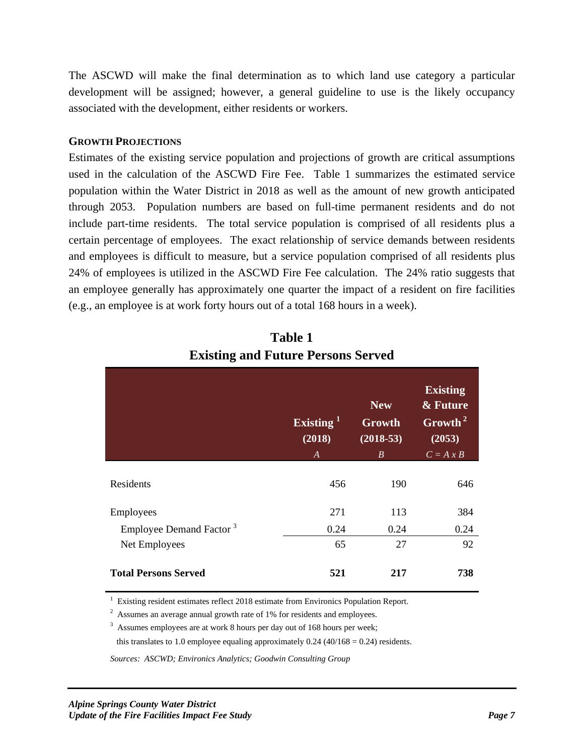The ASCWD will make the final determination as to which land use category a particular development will be assigned; however, a general guideline to use is the likely occupancy associated with the development, either residents or workers.

#### **GROWTH PROJECTIONS**

Estimates of the existing service population and projections of growth are critical assumptions used in the calculation of the ASCWD Fire Fee. Table 1 summarizes the estimated service population within the Water District in 2018 as well as the amount of new growth anticipated through 2053. Population numbers are based on full-time permanent residents and do not include part-time residents. The total service population is comprised of all residents plus a certain percentage of employees. The exact relationship of service demands between residents and employees is difficult to measure, but a service population comprised of all residents plus 24% of employees is utilized in the ASCWD Fire Fee calculation. The 24% ratio suggests that an employee generally has approximately one quarter the impact of a resident on fire facilities (e.g., an employee is at work forty hours out of a total 168 hours in a week).

|                                     | Existing $^1$<br>(2018)<br>$\boldsymbol{A}$ | <b>New</b><br>Growth<br>$(2018-53)$<br>$\boldsymbol{B}$ | <b>Existing</b><br>& Future<br>$\overline{\text{Growth}}^2$<br>(2053)<br>$C = A x B$ |
|-------------------------------------|---------------------------------------------|---------------------------------------------------------|--------------------------------------------------------------------------------------|
| Residents                           | 456                                         | 190                                                     | 646                                                                                  |
| Employees                           | 271                                         | 113                                                     | 384                                                                                  |
| Employee Demand Factor <sup>3</sup> | 0.24                                        | 0.24                                                    | 0.24                                                                                 |
| Net Employees                       | 65                                          | 27                                                      | 92                                                                                   |
| <b>Total Persons Served</b>         | 521                                         | 217                                                     | 738                                                                                  |

## **Table 1 Existing and Future Persons Served**

<sup>1</sup> Existing resident estimates reflect 2018 estimate from Environics Population Report.

 $2$  Assumes an average annual growth rate of 1% for residents and employees.

 $3$  Assumes employees are at work 8 hours per day out of 168 hours per week;

this translates to 1.0 employee equaling approximately  $0.24$  (40/168 = 0.24) residents.

*Sources: ASCWD; Environics Analytics; Goodwin Consulting Group*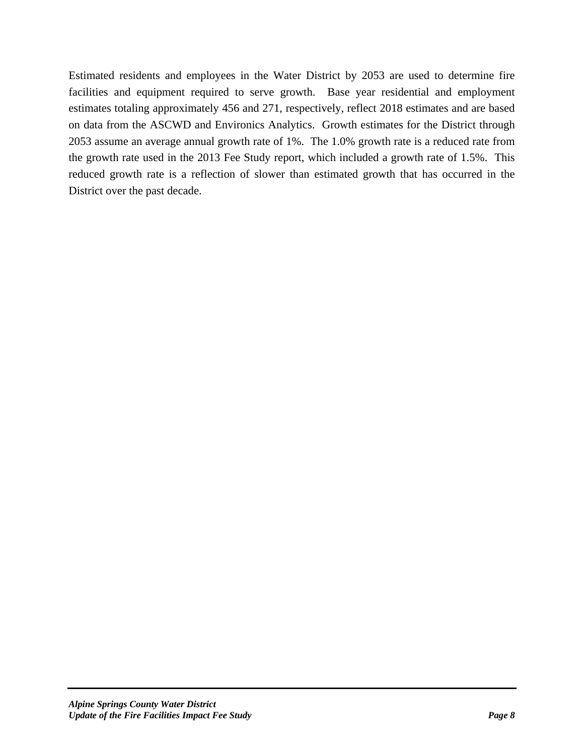Estimated residents and employees in the Water District by 2053 are used to determine fire facilities and equipment required to serve growth. Base year residential and employment estimates totaling approximately 456 and 271, respectively, reflect 2018 estimates and are based on data from the ASCWD and Environics Analytics. Growth estimates for the District through 2053 assume an average annual growth rate of 1%. The 1.0% growth rate is a reduced rate from the growth rate used in the 2013 Fee Study report, which included a growth rate of 1.5%. This reduced growth rate is a reflection of slower than estimated growth that has occurred in the District over the past decade.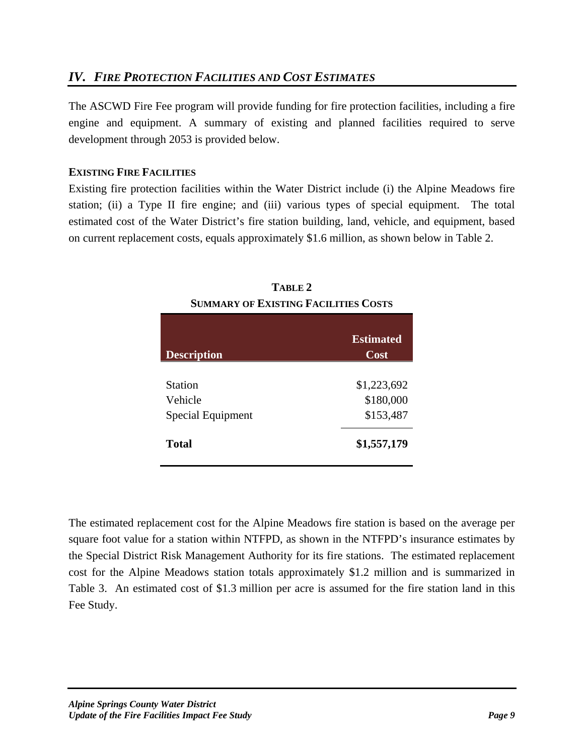## *IV. FIRE PROTECTION FACILITIES AND COST ESTIMATES*

The ASCWD Fire Fee program will provide funding for fire protection facilities, including a fire engine and equipment. A summary of existing and planned facilities required to serve development through 2053 is provided below.

#### **EXISTING FIRE FACILITIES**

Existing fire protection facilities within the Water District include (i) the Alpine Meadows fire station; (ii) a Type II fire engine; and (iii) various types of special equipment. The total estimated cost of the Water District's fire station building, land, vehicle, and equipment, based on current replacement costs, equals approximately \$1.6 million, as shown below in Table 2.

| <b>Description</b>       | <b>Estimated</b><br>Cost |
|--------------------------|--------------------------|
|                          |                          |
| <b>Station</b>           | \$1,223,692              |
| Vehicle                  | \$180,000                |
| <b>Special Equipment</b> | \$153,487                |
| <b>Total</b>             | \$1,557,179              |

**TABLE 2 SUMMARY OF EXISTING FACILITIES COSTS**

The estimated replacement cost for the Alpine Meadows fire station is based on the average per square foot value for a station within NTFPD, as shown in the NTFPD's insurance estimates by the Special District Risk Management Authority for its fire stations. The estimated replacement cost for the Alpine Meadows station totals approximately \$1.2 million and is summarized in Table 3. An estimated cost of \$1.3 million per acre is assumed for the fire station land in this Fee Study.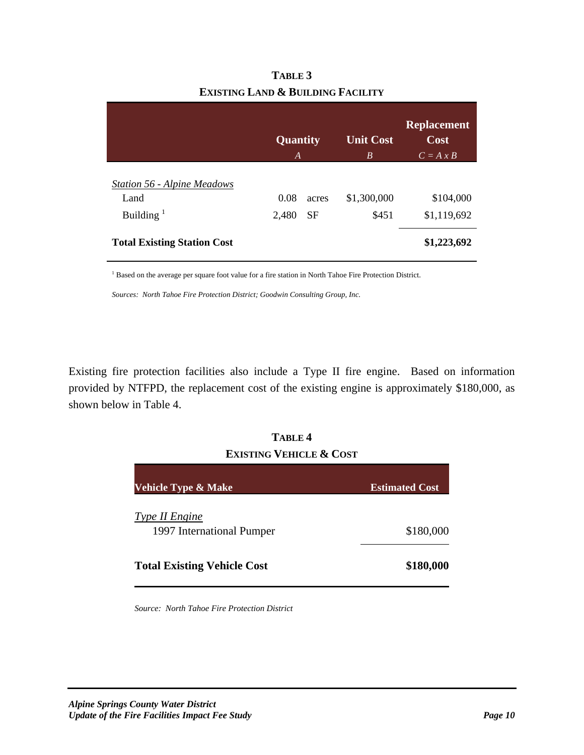|                                    | Quantity<br>A |           | <b>Unit Cost</b><br>B | <b>Replacement</b><br>$\overline{\text{Cost}}$<br>$C = A \times B$ |
|------------------------------------|---------------|-----------|-----------------------|--------------------------------------------------------------------|
| <b>Station 56 - Alpine Meadows</b> |               |           |                       |                                                                    |
| Land                               | 0.08          | acres     | \$1,300,000           | \$104,000                                                          |
| Building $1$                       | 2,480         | <b>SF</b> | \$451                 | \$1,119,692                                                        |
| <b>Total Existing Station Cost</b> |               |           |                       | \$1,223,692                                                        |

| TABLE 3                           |
|-----------------------------------|
| Existing Land & Building Facility |

<sup>1</sup> Based on the average per square foot value for a fire station in North Tahoe Fire Protection District.

*Sources: North Tahoe Fire Protection District; Goodwin Consulting Group, Inc.* 

Existing fire protection facilities also include a Type II fire engine. Based on information provided by NTFPD, the replacement cost of the existing engine is approximately \$180,000, as shown below in Table 4.

#### **TABLE 4 EXISTING VEHICLE & COST**

| <b>Vehicle Type &amp; Make</b>              | <b>Estimated Cost</b> |
|---------------------------------------------|-----------------------|
| Type II Engine<br>1997 International Pumper | \$180,000             |
| <b>Total Existing Vehicle Cost</b>          | \$180,000             |

*Source: North Tahoe Fire Protection District*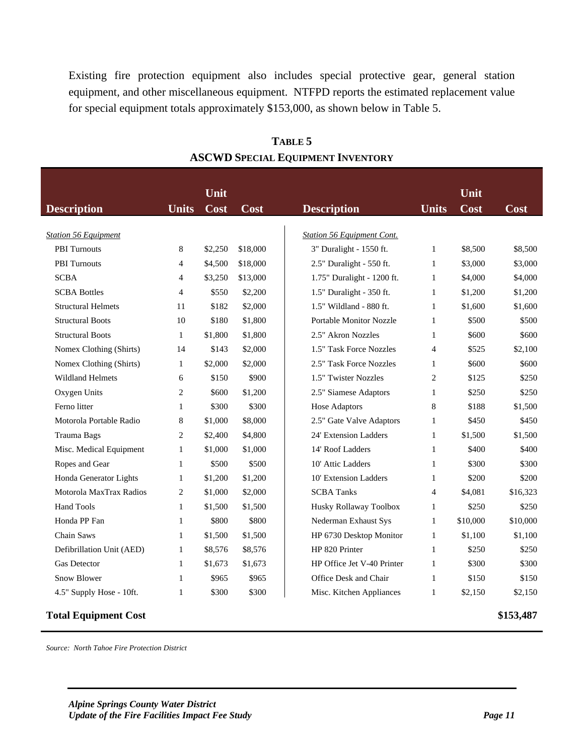Existing fire protection equipment also includes special protective gear, general station equipment, and other miscellaneous equipment. NTFPD reports the estimated replacement value for special equipment totals approximately \$153,000, as shown below in Table 5.

|                             |                | Unit    |          |                                   |                | Unit     |                          |
|-----------------------------|----------------|---------|----------|-----------------------------------|----------------|----------|--------------------------|
| <b>Description</b>          | <b>Units</b>   | Cost    | Cost     | <b>Description</b>                | <b>Units</b>   | Cost     | $\overline{\text{Cost}}$ |
|                             |                |         |          |                                   |                |          |                          |
| <b>Station 56 Equipment</b> |                |         |          | <b>Station 56 Equipment Cont.</b> |                |          |                          |
| <b>PBI</b> Turnouts         | 8              | \$2,250 | \$18,000 | 3" Duralight - 1550 ft.           | $\mathbf{1}$   | \$8,500  | \$8,500                  |
| <b>PBI</b> Turnouts         | 4              | \$4,500 | \$18,000 | 2.5" Duralight - 550 ft.          | 1              | \$3,000  | \$3,000                  |
| <b>SCBA</b>                 | 4              | \$3,250 | \$13,000 | 1.75" Duralight - 1200 ft.        | 1              | \$4,000  | \$4,000                  |
| <b>SCBA Bottles</b>         | 4              | \$550   | \$2,200  | 1.5" Duralight - 350 ft.          | 1              | \$1,200  | \$1,200                  |
| <b>Structural Helmets</b>   | 11             | \$182   | \$2,000  | 1.5" Wildland - 880 ft.           | 1              | \$1,600  | \$1,600                  |
| <b>Structural Boots</b>     | 10             | \$180   | \$1,800  | <b>Portable Monitor Nozzle</b>    | 1              | \$500    | \$500                    |
| <b>Structural Boots</b>     | $\mathbf{1}$   | \$1,800 | \$1,800  | 2.5" Akron Nozzles                | 1              | \$600    | \$600                    |
| Nomex Clothing (Shirts)     | 14             | \$143   | \$2,000  | 1.5" Task Force Nozzles           | 4              | \$525    | \$2,100                  |
| Nomex Clothing (Shirts)     | $\mathbf{1}$   | \$2,000 | \$2,000  | 2.5" Task Force Nozzles           | 1              | \$600    | \$600                    |
| <b>Wildland Helmets</b>     | 6              | \$150   | \$900    | 1.5" Twister Nozzles              | 2              | \$125    | \$250                    |
| Oxygen Units                | 2              | \$600   | \$1,200  | 2.5" Siamese Adaptors             | 1              | \$250    | \$250                    |
| Ferno litter                | 1              | \$300   | \$300    | <b>Hose Adaptors</b>              | 8              | \$188    | \$1,500                  |
| Motorola Portable Radio     | 8              | \$1,000 | \$8,000  | 2.5" Gate Valve Adaptors          | $\mathbf{1}$   | \$450    | \$450                    |
| <b>Trauma Bags</b>          | $\overline{c}$ | \$2,400 | \$4,800  | 24' Extension Ladders             | 1              | \$1,500  | \$1,500                  |
| Misc. Medical Equipment     | $\mathbf{1}$   | \$1,000 | \$1,000  | 14' Roof Ladders                  | $\mathbf{1}$   | \$400    | \$400                    |
| Ropes and Gear              | $\mathbf{1}$   | \$500   | \$500    | 10' Attic Ladders                 | 1              | \$300    | \$300                    |
| Honda Generator Lights      | $\mathbf{1}$   | \$1,200 | \$1,200  | 10' Extension Ladders             | $\mathbf{1}$   | \$200    | \$200                    |
| Motorola MaxTrax Radios     | 2              | \$1,000 | \$2,000  | <b>SCBA Tanks</b>                 | $\overline{4}$ | \$4,081  | \$16,323                 |
| Hand Tools                  | $\mathbf{1}$   | \$1,500 | \$1,500  | Husky Rollaway Toolbox            | 1              | \$250    | \$250                    |
| Honda PP Fan                | $\mathbf{1}$   | \$800   | \$800    | Nederman Exhaust Sys              | $\mathbf{1}$   | \$10,000 | \$10,000                 |
| Chain Saws                  | 1              | \$1,500 | \$1,500  | HP 6730 Desktop Monitor           | 1              | \$1,100  | \$1,100                  |
| Defibrillation Unit (AED)   | $\mathbf{1}$   | \$8,576 | \$8,576  | HP 820 Printer                    | $\mathbf{1}$   | \$250    | \$250                    |
| <b>Gas Detector</b>         | 1              | \$1,673 | \$1,673  | HP Office Jet V-40 Printer        | 1              | \$300    | \$300                    |
| <b>Snow Blower</b>          | $\mathbf{1}$   | \$965   | \$965    | Office Desk and Chair             | $\mathbf{1}$   | \$150    | \$150                    |
| 4.5" Supply Hose - 10ft.    | 1              | \$300   | \$300    | Misc. Kitchen Appliances          | 1              | \$2,150  | \$2,150                  |
| <b>Total Equipment Cost</b> |                |         |          |                                   |                |          | \$153,487                |

**TABLE 5 ASCWD SPECIAL EQUIPMENT INVENTORY**

*Source: North Tahoe Fire Protection District*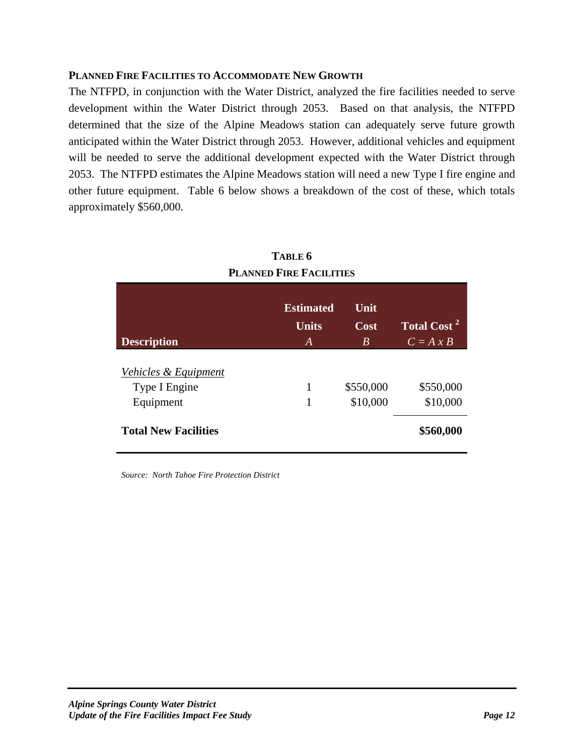#### **PLANNED FIRE FACILITIES TO ACCOMMODATE NEW GROWTH**

The NTFPD, in conjunction with the Water District, analyzed the fire facilities needed to serve development within the Water District through 2053. Based on that analysis, the NTFPD determined that the size of the Alpine Meadows station can adequately serve future growth anticipated within the Water District through 2053. However, additional vehicles and equipment will be needed to serve the additional development expected with the Water District through 2053. The NTFPD estimates the Alpine Meadows station will need a new Type I fire engine and other future equipment. Table 6 below shows a breakdown of the cost of these, which totals approximately \$560,000.

| TABLE 6                                  |                         |           |             |  |  |  |  |  |
|------------------------------------------|-------------------------|-----------|-------------|--|--|--|--|--|
| <b>PLANNED FIRE FACILITIES</b>           |                         |           |             |  |  |  |  |  |
|                                          |                         |           |             |  |  |  |  |  |
| Unit<br><b>Estimated</b>                 |                         |           |             |  |  |  |  |  |
|                                          | Total Cost <sup>2</sup> |           |             |  |  |  |  |  |
| <b>Description</b>                       | A                       | B         | $C = A x B$ |  |  |  |  |  |
|                                          |                         |           |             |  |  |  |  |  |
| Vehicles & Equipment                     |                         |           |             |  |  |  |  |  |
| Type I Engine                            | 1                       | \$550,000 | \$550,000   |  |  |  |  |  |
| Equipment                                | 1                       | \$10,000  | \$10,000    |  |  |  |  |  |
| \$560,000<br><b>Total New Facilities</b> |                         |           |             |  |  |  |  |  |

*Source: North Tahoe Fire Protection District*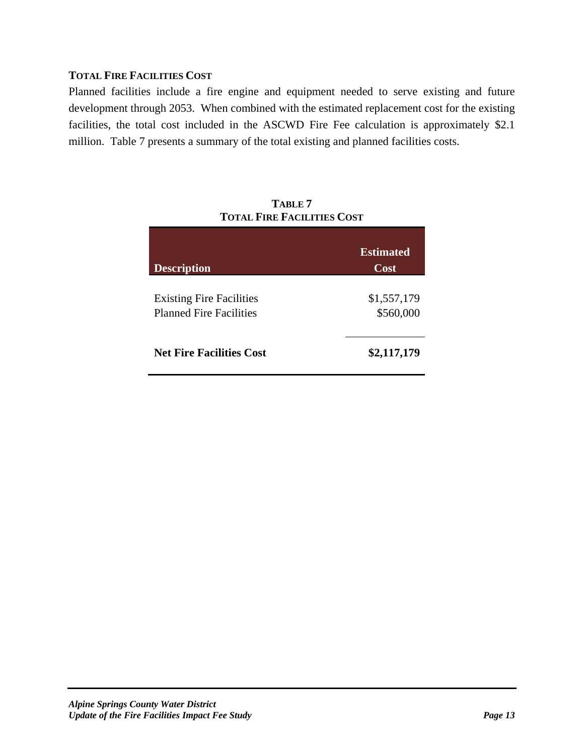#### **TOTAL FIRE FACILITIES COST**

Planned facilities include a fire engine and equipment needed to serve existing and future development through 2053. When combined with the estimated replacement cost for the existing facilities, the total cost included in the ASCWD Fire Fee calculation is approximately \$2.1 million. Table 7 presents a summary of the total existing and planned facilities costs.

| <b>Description</b>                                                | <b>Estimated</b><br>Cost |
|-------------------------------------------------------------------|--------------------------|
| <b>Existing Fire Facilities</b><br><b>Planned Fire Facilities</b> | \$1,557,179<br>\$560,000 |
| <b>Net Fire Facilities Cost</b>                                   | \$2,117,179              |

**TABLE 7 TOTAL FIRE FACILITIES COST**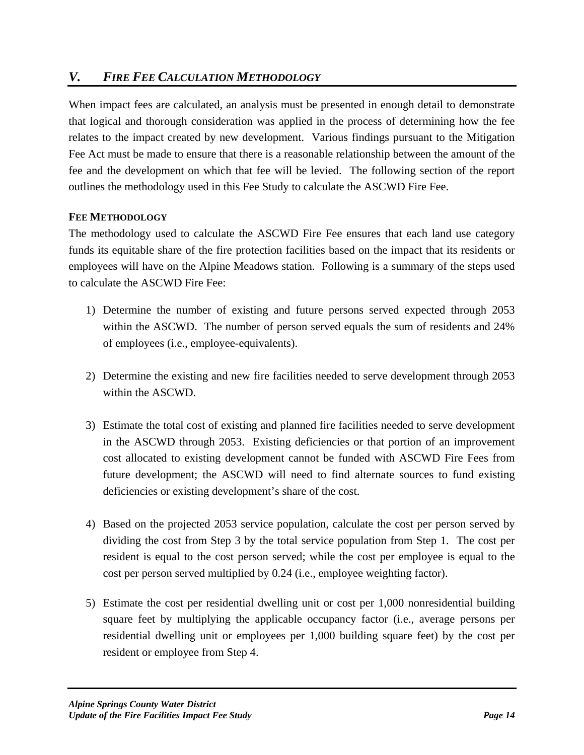### *V. FIRE FEE CALCULATION METHODOLOGY*

When impact fees are calculated, an analysis must be presented in enough detail to demonstrate that logical and thorough consideration was applied in the process of determining how the fee relates to the impact created by new development. Various findings pursuant to the Mitigation Fee Act must be made to ensure that there is a reasonable relationship between the amount of the fee and the development on which that fee will be levied. The following section of the report outlines the methodology used in this Fee Study to calculate the ASCWD Fire Fee.

#### **FEE METHODOLOGY**

The methodology used to calculate the ASCWD Fire Fee ensures that each land use category funds its equitable share of the fire protection facilities based on the impact that its residents or employees will have on the Alpine Meadows station. Following is a summary of the steps used to calculate the ASCWD Fire Fee:

- 1) Determine the number of existing and future persons served expected through 2053 within the ASCWD. The number of person served equals the sum of residents and 24% of employees (i.e., employee-equivalents).
- 2) Determine the existing and new fire facilities needed to serve development through 2053 within the ASCWD.
- 3) Estimate the total cost of existing and planned fire facilities needed to serve development in the ASCWD through 2053. Existing deficiencies or that portion of an improvement cost allocated to existing development cannot be funded with ASCWD Fire Fees from future development; the ASCWD will need to find alternate sources to fund existing deficiencies or existing development's share of the cost.
- 4) Based on the projected 2053 service population, calculate the cost per person served by dividing the cost from Step 3 by the total service population from Step 1. The cost per resident is equal to the cost person served; while the cost per employee is equal to the cost per person served multiplied by 0.24 (i.e., employee weighting factor).
- 5) Estimate the cost per residential dwelling unit or cost per 1,000 nonresidential building square feet by multiplying the applicable occupancy factor (i.e., average persons per residential dwelling unit or employees per 1,000 building square feet) by the cost per resident or employee from Step 4.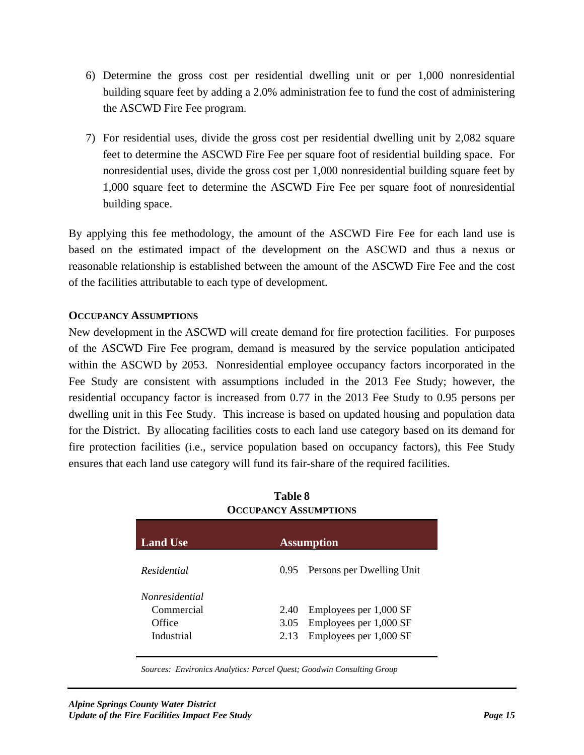- 6) Determine the gross cost per residential dwelling unit or per 1,000 nonresidential building square feet by adding a 2.0% administration fee to fund the cost of administering the ASCWD Fire Fee program.
- 7) For residential uses, divide the gross cost per residential dwelling unit by 2,082 square feet to determine the ASCWD Fire Fee per square foot of residential building space. For nonresidential uses, divide the gross cost per 1,000 nonresidential building square feet by 1,000 square feet to determine the ASCWD Fire Fee per square foot of nonresidential building space.

By applying this fee methodology, the amount of the ASCWD Fire Fee for each land use is based on the estimated impact of the development on the ASCWD and thus a nexus or reasonable relationship is established between the amount of the ASCWD Fire Fee and the cost of the facilities attributable to each type of development.

#### **OCCUPANCY ASSUMPTIONS**

New development in the ASCWD will create demand for fire protection facilities. For purposes of the ASCWD Fire Fee program, demand is measured by the service population anticipated within the ASCWD by 2053. Nonresidential employee occupancy factors incorporated in the Fee Study are consistent with assumptions included in the 2013 Fee Study; however, the residential occupancy factor is increased from 0.77 in the 2013 Fee Study to 0.95 persons per dwelling unit in this Fee Study. This increase is based on updated housing and population data for the District. By allocating facilities costs to each land use category based on its demand for fire protection facilities (i.e., service population based on occupancy factors), this Fee Study ensures that each land use category will fund its fair-share of the required facilities.

| <b>Land Use</b>       | <b>Assumption</b> |                                |
|-----------------------|-------------------|--------------------------------|
| <i>Residential</i>    |                   | 0.95 Persons per Dwelling Unit |
| <i>Nonresidential</i> |                   |                                |
| Commercial            | 2.40              | Employees per 1,000 SF         |
| Office                | 3.05              | Employees per 1,000 SF         |
| Industrial            | 2.13              | Employees per 1,000 SF         |

#### **Table 8 OCCUPANCY ASSUMPTIONS**

*Sources: Environics Analytics: Parcel Quest; Goodwin Consulting Group*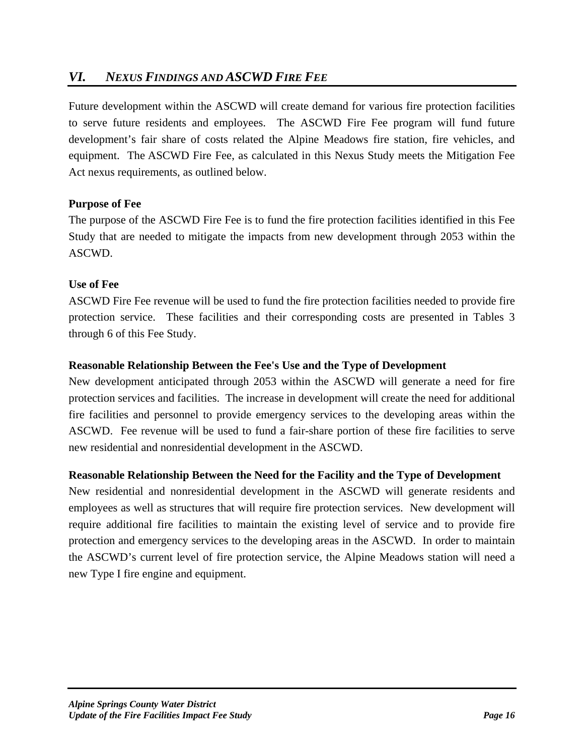Future development within the ASCWD will create demand for various fire protection facilities to serve future residents and employees. The ASCWD Fire Fee program will fund future development's fair share of costs related the Alpine Meadows fire station, fire vehicles, and equipment. The ASCWD Fire Fee, as calculated in this Nexus Study meets the Mitigation Fee Act nexus requirements, as outlined below.

#### **Purpose of Fee**

The purpose of the ASCWD Fire Fee is to fund the fire protection facilities identified in this Fee Study that are needed to mitigate the impacts from new development through 2053 within the ASCWD.

#### **Use of Fee**

ASCWD Fire Fee revenue will be used to fund the fire protection facilities needed to provide fire protection service. These facilities and their corresponding costs are presented in Tables 3 through 6 of this Fee Study.

#### **Reasonable Relationship Between the Fee's Use and the Type of Development**

New development anticipated through 2053 within the ASCWD will generate a need for fire protection services and facilities. The increase in development will create the need for additional fire facilities and personnel to provide emergency services to the developing areas within the ASCWD. Fee revenue will be used to fund a fair-share portion of these fire facilities to serve new residential and nonresidential development in the ASCWD.

#### **Reasonable Relationship Between the Need for the Facility and the Type of Development**

New residential and nonresidential development in the ASCWD will generate residents and employees as well as structures that will require fire protection services. New development will require additional fire facilities to maintain the existing level of service and to provide fire protection and emergency services to the developing areas in the ASCWD. In order to maintain the ASCWD's current level of fire protection service, the Alpine Meadows station will need a new Type I fire engine and equipment.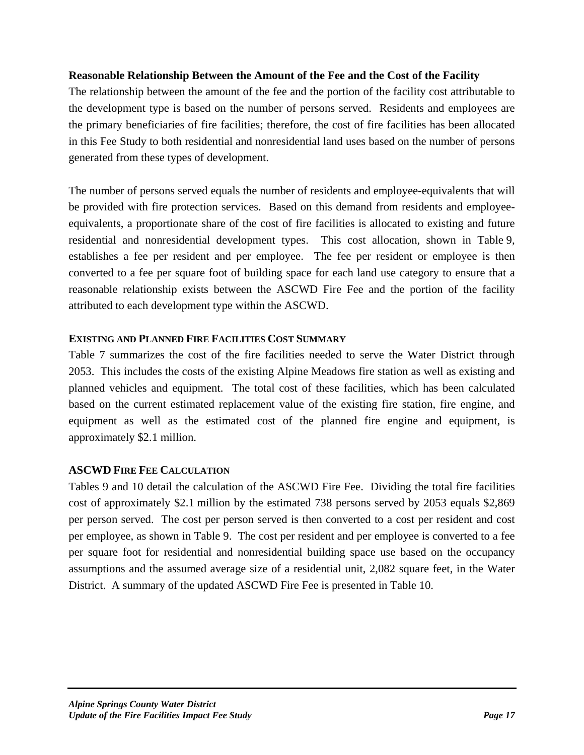#### **Reasonable Relationship Between the Amount of the Fee and the Cost of the Facility**

The relationship between the amount of the fee and the portion of the facility cost attributable to the development type is based on the number of persons served. Residents and employees are the primary beneficiaries of fire facilities; therefore, the cost of fire facilities has been allocated in this Fee Study to both residential and nonresidential land uses based on the number of persons generated from these types of development.

The number of persons served equals the number of residents and employee-equivalents that will be provided with fire protection services. Based on this demand from residents and employeeequivalents, a proportionate share of the cost of fire facilities is allocated to existing and future residential and nonresidential development types. This cost allocation, shown in Table 9, establishes a fee per resident and per employee. The fee per resident or employee is then converted to a fee per square foot of building space for each land use category to ensure that a reasonable relationship exists between the ASCWD Fire Fee and the portion of the facility attributed to each development type within the ASCWD.

#### **EXISTING AND PLANNED FIRE FACILITIES COST SUMMARY**

Table 7 summarizes the cost of the fire facilities needed to serve the Water District through 2053. This includes the costs of the existing Alpine Meadows fire station as well as existing and planned vehicles and equipment. The total cost of these facilities, which has been calculated based on the current estimated replacement value of the existing fire station, fire engine, and equipment as well as the estimated cost of the planned fire engine and equipment, is approximately \$2.1 million.

#### **ASCWD FIRE FEE CALCULATION**

Tables 9 and 10 detail the calculation of the ASCWD Fire Fee. Dividing the total fire facilities cost of approximately \$2.1 million by the estimated 738 persons served by 2053 equals \$2,869 per person served. The cost per person served is then converted to a cost per resident and cost per employee, as shown in Table 9. The cost per resident and per employee is converted to a fee per square foot for residential and nonresidential building space use based on the occupancy assumptions and the assumed average size of a residential unit, 2,082 square feet, in the Water District. A summary of the updated ASCWD Fire Fee is presented in Table 10.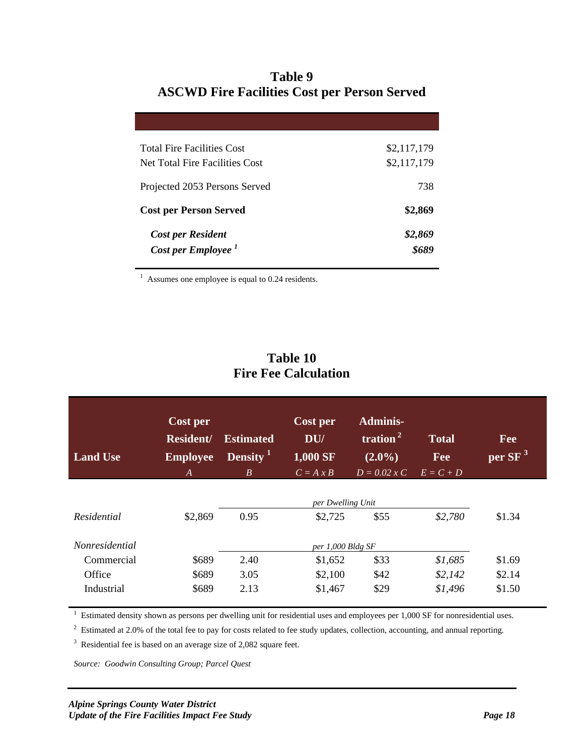## **Table 9 ASCWD Fire Facilities Cost per Person Served**

| <b>Total Fire Facilities Cost</b><br>Net Total Fire Facilities Cost | \$2,117,179<br>\$2,117,179 |
|---------------------------------------------------------------------|----------------------------|
| Projected 2053 Persons Served                                       | 738                        |
| <b>Cost per Person Served</b>                                       | \$2,869                    |
| <b>Cost per Resident</b><br>Cost per Employee <sup>1</sup>          | \$2,869                    |

 $<sup>1</sup>$  Assumes one employee is equal to 0.24 residents.</sup>

## **Table 10 Fire Fee Calculation**

| <b>Land Use</b>       | Cost per<br><b>Resident/</b><br><b>Employee</b><br>A | <b>Estimated</b><br>Density <sup>1</sup><br>B | Cost per<br>DU/<br>1,000 SF<br>$C = A x B$ | <b>Adminis-</b><br>$\frac{1}{2}$ tration <sup>21</sup><br>$(2.0\%)$<br>$D = 0.02 x C$ | <b>Total</b><br>Fee<br>$E = C + D$ | Fee<br>per SF <sup>3</sup> |
|-----------------------|------------------------------------------------------|-----------------------------------------------|--------------------------------------------|---------------------------------------------------------------------------------------|------------------------------------|----------------------------|
|                       |                                                      |                                               | per Dwelling Unit                          |                                                                                       |                                    |                            |
| <b>Residential</b>    | \$2,869                                              | 0.95                                          | \$2,725                                    | \$55                                                                                  | \$2,780                            | \$1.34                     |
| <i>Nonresidential</i> |                                                      |                                               | per 1,000 Bldg SF                          |                                                                                       |                                    |                            |
| Commercial            | \$689                                                | 2.40                                          | \$1,652                                    | \$33                                                                                  | \$1,685                            | \$1.69                     |
| Office                | \$689                                                | 3.05                                          | \$2,100                                    | \$42                                                                                  | \$2,142                            | \$2.14                     |
| Industrial            | \$689                                                | 2.13                                          | \$1,467                                    | \$29                                                                                  | \$1,496                            | \$1.50                     |

<sup>1</sup> Estimated density shown as persons per dwelling unit for residential uses and employees per 1,000 SF for nonresidential uses.

<sup>2</sup> Estimated at 2.0% of the total fee to pay for costs related to fee study updates, collection, accounting, and annual reporting.

 $3$  Residential fee is based on an average size of 2,082 square feet.

*Source: Goodwin Consulting Group; Parcel Quest*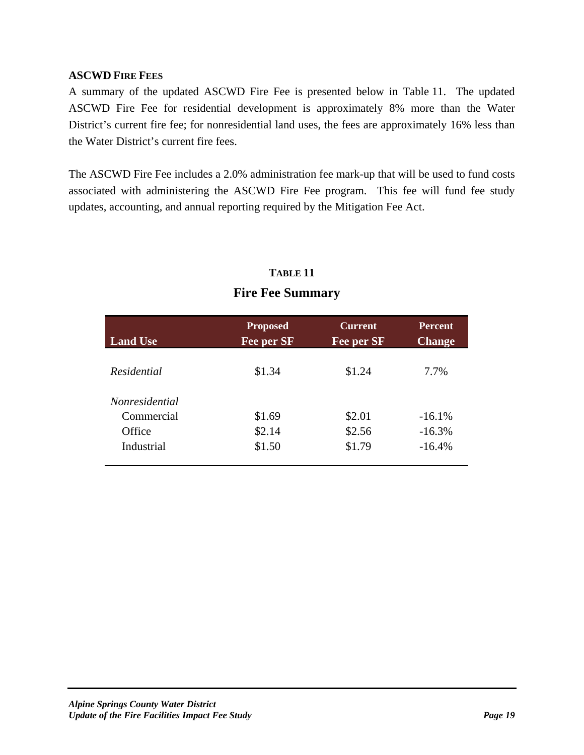#### **ASCWD FIRE FEES**

A summary of the updated ASCWD Fire Fee is presented below in Table 11. The updated ASCWD Fire Fee for residential development is approximately 8% more than the Water District's current fire fee; for nonresidential land uses, the fees are approximately 16% less than the Water District's current fire fees.

The ASCWD Fire Fee includes a 2.0% administration fee mark-up that will be used to fund costs associated with administering the ASCWD Fire Fee program. This fee will fund fee study updates, accounting, and annual reporting required by the Mitigation Fee Act.

| <b>Land Use</b>       | <b>Proposed</b><br>Fee per SF | <b>Current</b><br>Fee per SF | <b>Percent</b><br><b>Change</b> |
|-----------------------|-------------------------------|------------------------------|---------------------------------|
| Residential           | \$1.34                        | \$1.24                       | 7.7%                            |
| <i>Nonresidential</i> |                               |                              |                                 |
| Commercial            | \$1.69                        | \$2.01                       | $-16.1\%$                       |
| Office                | \$2.14                        | \$2.56                       | $-16.3%$                        |
| Industrial            | \$1.50                        | \$1.79                       | $-16.4%$                        |

## **TABLE 11 Fire Fee Summary**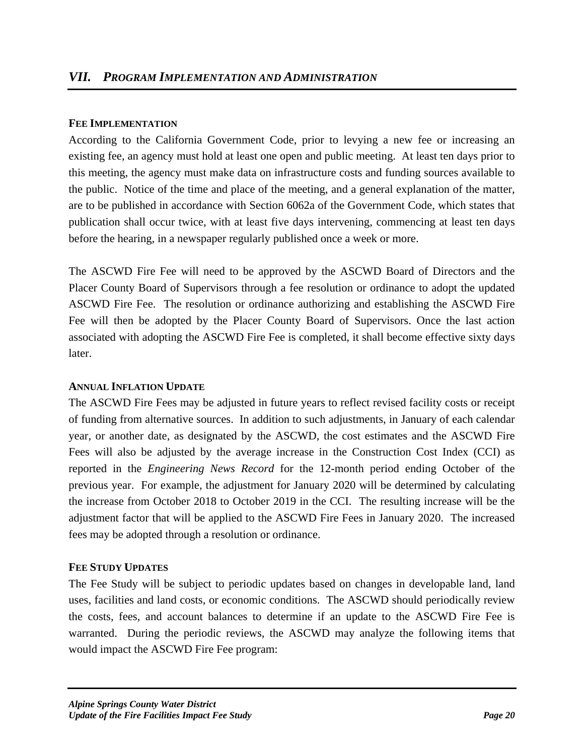#### **FEE IMPLEMENTATION**

According to the California Government Code, prior to levying a new fee or increasing an existing fee, an agency must hold at least one open and public meeting. At least ten days prior to this meeting, the agency must make data on infrastructure costs and funding sources available to the public. Notice of the time and place of the meeting, and a general explanation of the matter, are to be published in accordance with Section 6062a of the Government Code, which states that publication shall occur twice, with at least five days intervening, commencing at least ten days before the hearing, in a newspaper regularly published once a week or more.

The ASCWD Fire Fee will need to be approved by the ASCWD Board of Directors and the Placer County Board of Supervisors through a fee resolution or ordinance to adopt the updated ASCWD Fire Fee. The resolution or ordinance authorizing and establishing the ASCWD Fire Fee will then be adopted by the Placer County Board of Supervisors. Once the last action associated with adopting the ASCWD Fire Fee is completed, it shall become effective sixty days later.

#### **ANNUAL INFLATION UPDATE**

The ASCWD Fire Fees may be adjusted in future years to reflect revised facility costs or receipt of funding from alternative sources. In addition to such adjustments, in January of each calendar year, or another date, as designated by the ASCWD, the cost estimates and the ASCWD Fire Fees will also be adjusted by the average increase in the Construction Cost Index (CCI) as reported in the *Engineering News Record* for the 12-month period ending October of the previous year. For example, the adjustment for January 2020 will be determined by calculating the increase from October 2018 to October 2019 in the CCI. The resulting increase will be the adjustment factor that will be applied to the ASCWD Fire Fees in January 2020. The increased fees may be adopted through a resolution or ordinance.

#### **FEE STUDY UPDATES**

The Fee Study will be subject to periodic updates based on changes in developable land, land uses, facilities and land costs, or economic conditions. The ASCWD should periodically review the costs, fees, and account balances to determine if an update to the ASCWD Fire Fee is warranted. During the periodic reviews, the ASCWD may analyze the following items that would impact the ASCWD Fire Fee program: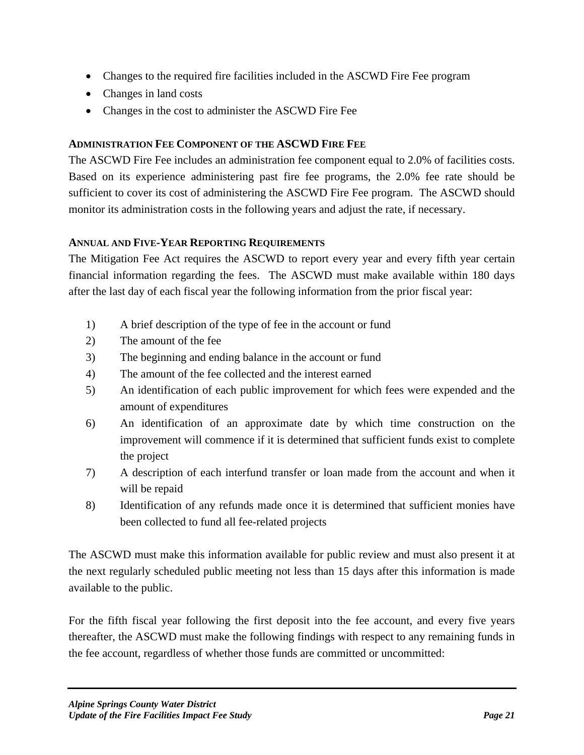- Changes to the required fire facilities included in the ASCWD Fire Fee program
- Changes in land costs
- Changes in the cost to administer the ASCWD Fire Fee

#### **ADMINISTRATION FEE COMPONENT OF THE ASCWD FIRE FEE**

The ASCWD Fire Fee includes an administration fee component equal to 2.0% of facilities costs. Based on its experience administering past fire fee programs, the 2.0% fee rate should be sufficient to cover its cost of administering the ASCWD Fire Fee program. The ASCWD should monitor its administration costs in the following years and adjust the rate, if necessary.

#### **ANNUAL AND FIVE-YEAR REPORTING REQUIREMENTS**

The Mitigation Fee Act requires the ASCWD to report every year and every fifth year certain financial information regarding the fees. The ASCWD must make available within 180 days after the last day of each fiscal year the following information from the prior fiscal year:

- 1) A brief description of the type of fee in the account or fund
- 2) The amount of the fee
- 3) The beginning and ending balance in the account or fund
- 4) The amount of the fee collected and the interest earned
- 5) An identification of each public improvement for which fees were expended and the amount of expenditures
- 6) An identification of an approximate date by which time construction on the improvement will commence if it is determined that sufficient funds exist to complete the project
- 7) A description of each interfund transfer or loan made from the account and when it will be repaid
- 8) Identification of any refunds made once it is determined that sufficient monies have been collected to fund all fee-related projects

The ASCWD must make this information available for public review and must also present it at the next regularly scheduled public meeting not less than 15 days after this information is made available to the public.

For the fifth fiscal year following the first deposit into the fee account, and every five years thereafter, the ASCWD must make the following findings with respect to any remaining funds in the fee account, regardless of whether those funds are committed or uncommitted: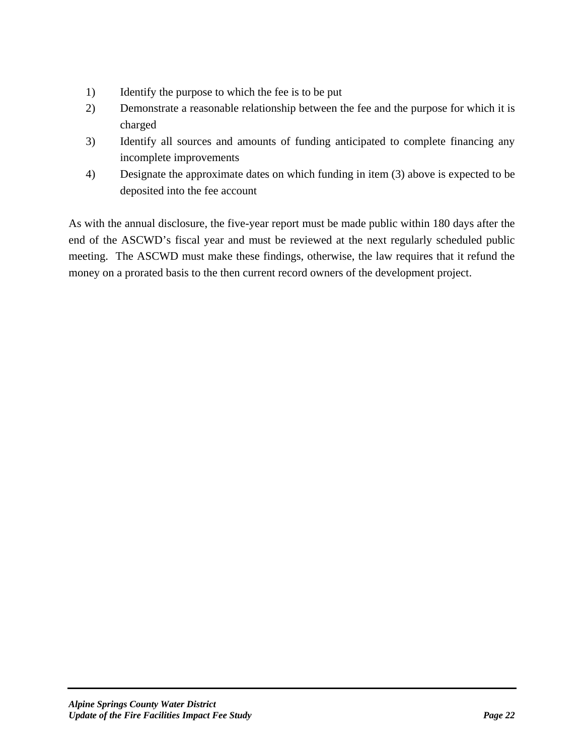- 1) Identify the purpose to which the fee is to be put
- 2) Demonstrate a reasonable relationship between the fee and the purpose for which it is charged
- 3) Identify all sources and amounts of funding anticipated to complete financing any incomplete improvements
- 4) Designate the approximate dates on which funding in item (3) above is expected to be deposited into the fee account

As with the annual disclosure, the five-year report must be made public within 180 days after the end of the ASCWD's fiscal year and must be reviewed at the next regularly scheduled public meeting. The ASCWD must make these findings, otherwise, the law requires that it refund the money on a prorated basis to the then current record owners of the development project.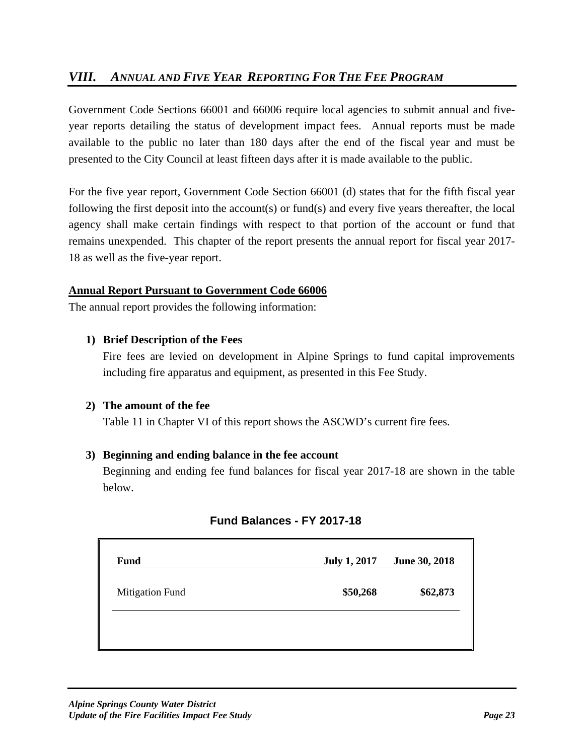## *VIII. ANNUAL AND FIVE YEAR REPORTING FOR THE FEE PROGRAM*

Government Code Sections 66001 and 66006 require local agencies to submit annual and fiveyear reports detailing the status of development impact fees. Annual reports must be made available to the public no later than 180 days after the end of the fiscal year and must be presented to the City Council at least fifteen days after it is made available to the public.

For the five year report, Government Code Section 66001 (d) states that for the fifth fiscal year following the first deposit into the account(s) or fund(s) and every five years thereafter, the local agency shall make certain findings with respect to that portion of the account or fund that remains unexpended. This chapter of the report presents the annual report for fiscal year 2017- 18 as well as the five-year report.

#### **Annual Report Pursuant to Government Code 66006**

The annual report provides the following information:

#### **1) Brief Description of the Fees**

Fire fees are levied on development in Alpine Springs to fund capital improvements including fire apparatus and equipment, as presented in this Fee Study.

#### **2) The amount of the fee**

Table 11 in Chapter VI of this report shows the ASCWD's current fire fees.

#### **3) Beginning and ending balance in the fee account**

Beginning and ending fee fund balances for fiscal year 2017-18 are shown in the table below.

| Fund                   | <b>July 1, 2017</b> | <b>June 30, 2018</b> |
|------------------------|---------------------|----------------------|
|                        |                     |                      |
| <b>Mitigation Fund</b> | \$50,268            | \$62,873             |

#### **Fund Balances - FY 2017-18**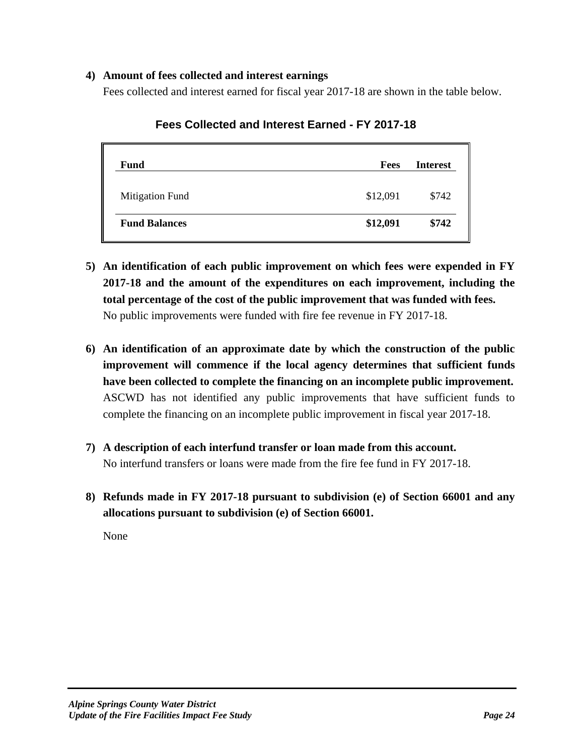#### **4) Amount of fees collected and interest earnings**

Fees collected and interest earned for fiscal year 2017-18 are shown in the table below.

| <b>Fund</b>            | <b>Fees</b> | <b>Interest</b> |
|------------------------|-------------|-----------------|
| <b>Mitigation Fund</b> | \$12,091    | \$742           |
| <b>Fund Balances</b>   | \$12,091    | \$742           |

**Fees Collected and Interest Earned - FY 2017-18** 

- **5) An identification of each public improvement on which fees were expended in FY 2017-18 and the amount of the expenditures on each improvement, including the total percentage of the cost of the public improvement that was funded with fees.**  No public improvements were funded with fire fee revenue in FY 2017-18.
- **6) An identification of an approximate date by which the construction of the public improvement will commence if the local agency determines that sufficient funds have been collected to complete the financing on an incomplete public improvement.**  ASCWD has not identified any public improvements that have sufficient funds to complete the financing on an incomplete public improvement in fiscal year 2017-18.
- **7) A description of each interfund transfer or loan made from this account.**  No interfund transfers or loans were made from the fire fee fund in FY 2017-18.
- **8) Refunds made in FY 2017-18 pursuant to subdivision (e) of Section 66001 and any allocations pursuant to subdivision (e) of Section 66001.**

None